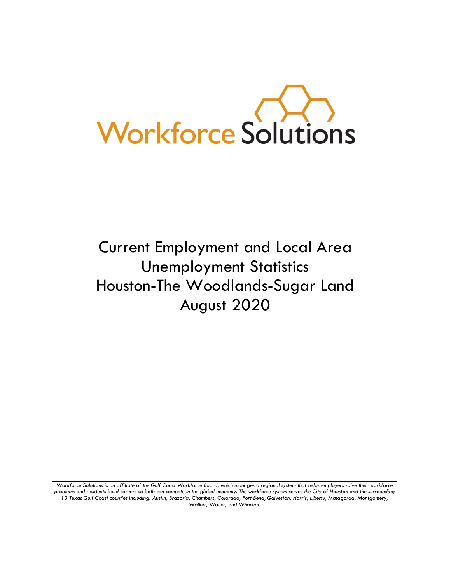

# Current Employment and Local Area Unemployment Statistics Houston-The Woodlands-Sugar Land August 2020

*Workforce Solutions is an affiliate of the Gulf Coast Workforce Board, which manages a regional system that helps employers solve their workforce problems and residents build careers so both can compete in the global economy. The workforce system serves the City of Houston and the surrounding 13 Texas Gulf Coast counties including: Austin, Brazoria, Chambers, Colorado, Fort Bend, Galveston, Harris, Liberty, Matagorda, Montgomery, Walker, Waller, and Wharton.*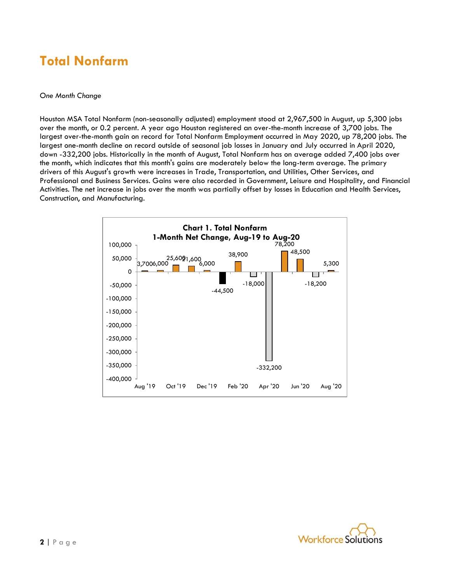### **Total Nonfarm**

#### *One Month Change*

Houston MSA Total Nonfarm (non-seasonally adjusted) employment stood at 2,967,500 in August, up 5,300 jobs over the month, or 0.2 percent. A year ago Houston registered an over-the-month increase of 3,700 jobs. The largest over-the-month gain on record for Total Nonfarm Employment occurred in May 2020, up 78,200 jobs. The largest one-month decline on record outside of seasonal job losses in January and July occurred in April 2020, down -332,200 jobs. Historically in the month of August, Total Nonfarm has on average added 7,400 jobs over the month, which indicates that this month's gains are moderately below the long-term average. The primary drivers of this August's growth were increases in Trade, Transportation, and Utilities, Other Services, and Professional and Business Services. Gains were also recorded in Government, Leisure and Hospitality, and Financial Activities. The net increase in jobs over the month was partially offset by losses in Education and Health Services, Construction, and Manufacturing.



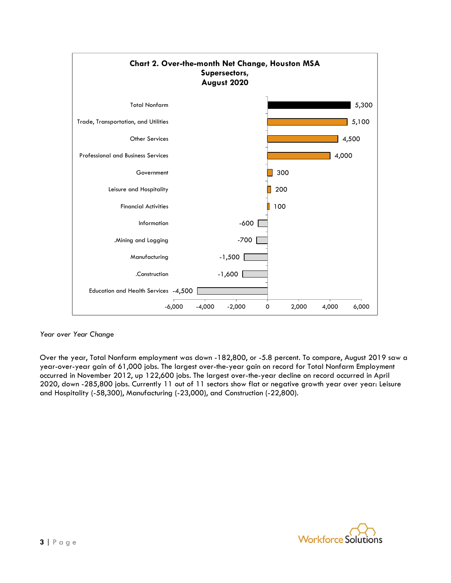

#### *Year over Year Change*

Over the year, Total Nonfarm employment was down -182,800, or -5.8 percent. To compare, August 2019 saw a year-over-year gain of 61,000 jobs. The largest over-the-year gain on record for Total Nonfarm Employment occurred in November 2012, up 122,600 jobs. The largest over-the-year decline on record occurred in April 2020, down -285,800 jobs. Currently 11 out of 11 sectors show flat or negative growth year over year: Leisure and Hospitality (-58,300), Manufacturing (-23,000), and Construction (-22,800).

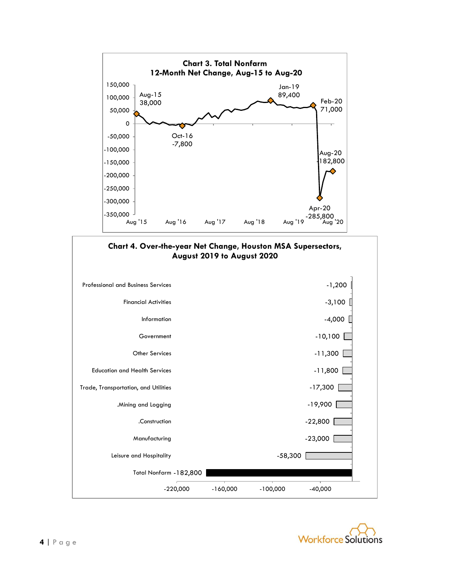



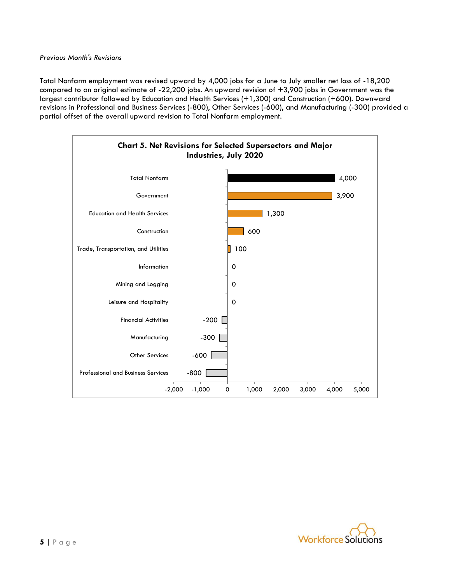Total Nonfarm employment was revised upward by 4,000 jobs for a June to July smaller net loss of -18,200 compared to an original estimate of -22,200 jobs. An upward revision of +3,900 jobs in Government was the largest contributor followed by Education and Health Services (+1,300) and Construction (+600). Downward revisions in Professional and Business Services (-800), Other Services (-600), and Manufacturing (-300) provided a partial offset of the overall upward revision to Total Nonfarm employment.



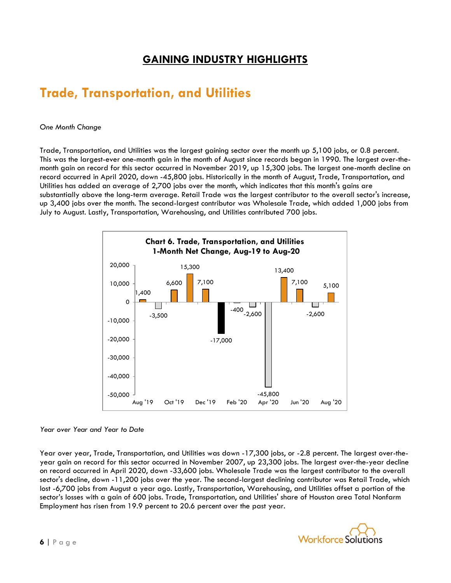### **GAINING INDUSTRY HIGHLIGHTS**

## **Trade, Transportation, and Utilities**

#### *One Month Change*

Trade, Transportation, and Utilities was the largest gaining sector over the month up 5,100 jobs, or 0.8 percent. This was the largest-ever one-month gain in the month of August since records began in 1990. The largest over-themonth gain on record for this sector occurred in November 2019, up 15,300 jobs. The largest one-month decline on record occurred in April 2020, down -45,800 jobs. Historically in the month of August, Trade, Transportation, and Utilities has added an average of 2,700 jobs over the month, which indicates that this month's gains are substantially above the long-term average. Retail Trade was the largest contributor to the overall sector's increase, up 3,400 jobs over the month. The second-largest contributor was Wholesale Trade, which added 1,000 jobs from July to August. Lastly, Transportation, Warehousing, and Utilities contributed 700 jobs.



#### *Year over Year and Year to Date*

Year over year, Trade, Transportation, and Utilities was down -17,300 jobs, or -2.8 percent. The largest over-theyear gain on record for this sector occurred in November 2007, up 23,300 jobs. The largest over-the-year decline on record occurred in April 2020, down -33,600 jobs. Wholesale Trade was the largest contributor to the overall sector's decline, down -11,200 jobs over the year. The second-largest declining contributor was Retail Trade, which lost -6,700 jobs from August a year ago. Lastly, Transportation, Warehousing, and Utilities offset a portion of the sector's losses with a gain of 600 jobs. Trade, Transportation, and Utilities' share of Houston area Total Nonfarm Employment has risen from 19.9 percent to 20.6 percent over the past year.

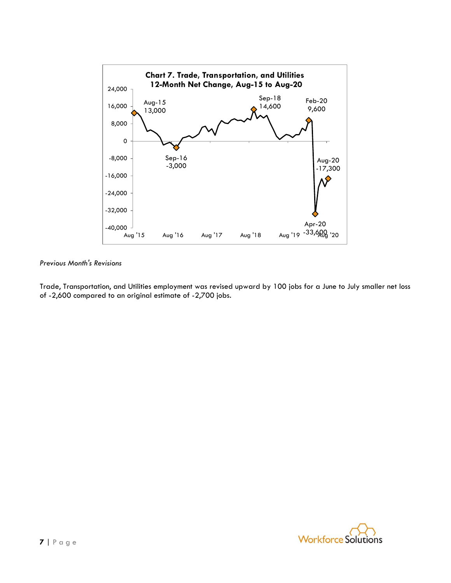

Trade, Transportation, and Utilities employment was revised upward by 100 jobs for a June to July smaller net loss of -2,600 compared to an original estimate of -2,700 jobs.

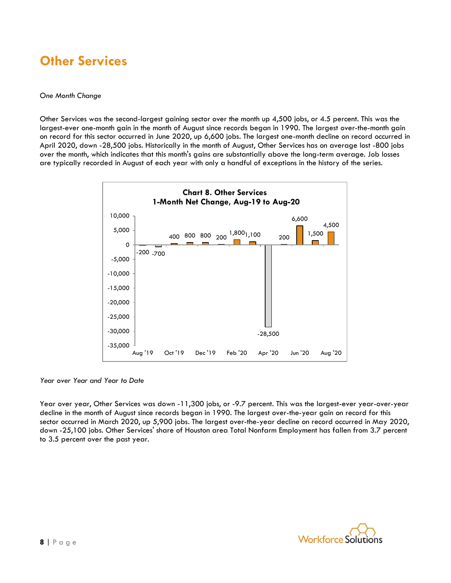### **Other Services**

#### *One Month Change*

Other Services was the second-largest gaining sector over the month up 4,500 jobs, or 4.5 percent. This was the largest-ever one-month gain in the month of August since records began in 1990. The largest over-the-month gain on record for this sector occurred in June 2020, up 6,600 jobs. The largest one-month decline on record occurred in April 2020, down -28,500 jobs. Historically in the month of August, Other Services has on average lost -800 jobs over the month, which indicates that this month's gains are substantially above the long-term average. Job losses are typically recorded in August of each year with only a handful of exceptions in the history of the series.



*Year over Year and Year to Date*

Year over year, Other Services was down -11,300 jobs, or -9.7 percent. This was the largest-ever year-over-year decline in the month of August since records began in 1990. The largest over-the-year gain on record for this sector occurred in March 2020, up 5,900 jobs. The largest over-the-year decline on record occurred in May 2020, down -25,100 jobs. Other Services' share of Houston area Total Nonfarm Employment has fallen from 3.7 percent to 3.5 percent over the past year.

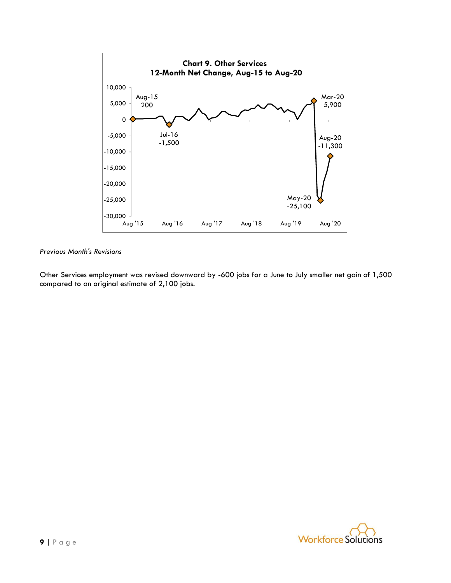

Other Services employment was revised downward by -600 jobs for a June to July smaller net gain of 1,500 compared to an original estimate of 2,100 jobs.

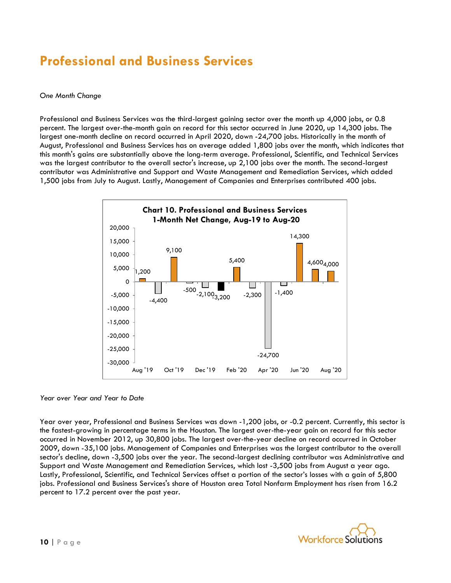### **Professional and Business Services**

#### *One Month Change*

Professional and Business Services was the third-largest gaining sector over the month up 4,000 jobs, or 0.8 percent. The largest over-the-month gain on record for this sector occurred in June 2020, up 14,300 jobs. The largest one-month decline on record occurred in April 2020, down -24,700 jobs. Historically in the month of August, Professional and Business Services has on average added 1,800 jobs over the month, which indicates that this month's gains are substantially above the long-term average. Professional, Scientific, and Technical Services was the largest contributor to the overall sector's increase, up 2,100 jobs over the month. The second-largest contributor was Administrative and Support and Waste Management and Remediation Services, which added 1,500 jobs from July to August. Lastly, Management of Companies and Enterprises contributed 400 jobs.



*Year over Year and Year to Date*

Year over year, Professional and Business Services was down -1,200 jobs, or -0.2 percent. Currently, this sector is the fastest-growing in percentage terms in the Houston. The largest over-the-year gain on record for this sector occurred in November 2012, up 30,800 jobs. The largest over-the-year decline on record occurred in October 2009, down -35,100 jobs. Management of Companies and Enterprises was the largest contributor to the overall sector's decline, down -3,500 jobs over the year. The second-largest declining contributor was Administrative and Support and Waste Management and Remediation Services, which lost -3,500 jobs from August a year ago. Lastly, Professional, Scientific, and Technical Services offset a portion of the sector's losses with a gain of 5,800 jobs. Professional and Business Services's share of Houston area Total Nonfarm Employment has risen from 16.2 percent to 17.2 percent over the past year.

![](_page_9_Picture_6.jpeg)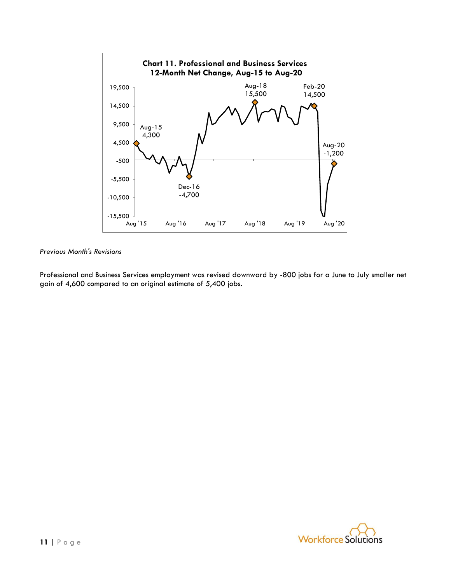![](_page_10_Figure_0.jpeg)

Professional and Business Services employment was revised downward by -800 jobs for a June to July smaller net gain of 4,600 compared to an original estimate of 5,400 jobs.

![](_page_10_Picture_3.jpeg)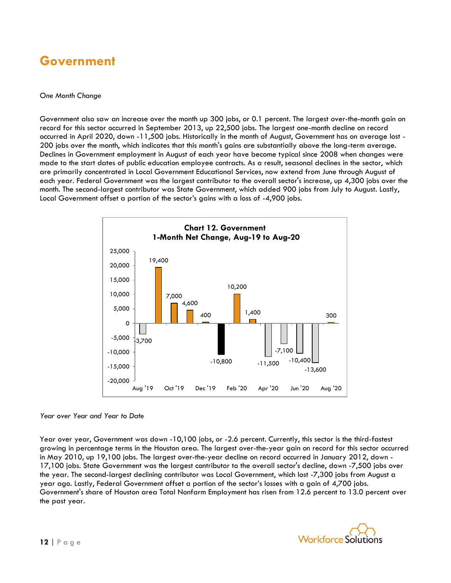### **Government**

#### *One Month Change*

Government also saw an increase over the month up 300 jobs, or 0.1 percent. The largest over-the-month gain on record for this sector occurred in September 2013, up 22,500 jobs. The largest one-month decline on record occurred in April 2020, down -11,500 jobs. Historically in the month of August, Government has on average lost - 200 jobs over the month, which indicates that this month's gains are substantially above the long-term average. Declines in Government employment in August of each year have become typical since 2008 when changes were made to the start dates of public education employee contracts. As a result, seasonal declines in the sector, which are primarily concentrated in Local Government Educational Services, now extend from June through August of each year. Federal Government was the largest contributor to the overall sector's increase, up 4,300 jobs over the month. The second-largest contributor was State Government, which added 900 jobs from July to August. Lastly, Local Government offset a portion of the sector's gains with a loss of -4,900 jobs.

![](_page_11_Figure_3.jpeg)

#### *Year over Year and Year to Date*

Year over year, Government was down -10,100 jobs, or -2.6 percent. Currently, this sector is the third-fastest growing in percentage terms in the Houston area. The largest over-the-year gain on record for this sector occurred in May 2010, up 19,100 jobs. The largest over-the-year decline on record occurred in January 2012, down - 17,100 jobs. State Government was the largest contributor to the overall sector's decline, down -7,500 jobs over the year. The second-largest declining contributor was Local Government, which lost -7,300 jobs from August a year ago. Lastly, Federal Government offset a portion of the sector's losses with a gain of 4,700 jobs. Government's share of Houston area Total Nonfarm Employment has risen from 12.6 percent to 13.0 percent over the past year.

![](_page_11_Picture_6.jpeg)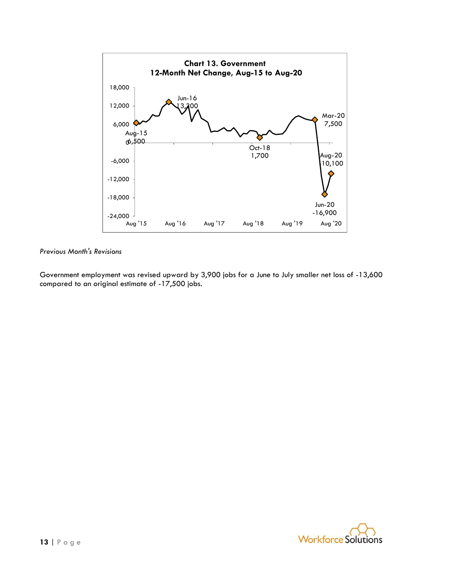![](_page_12_Figure_0.jpeg)

Government employment was revised upward by 3,900 jobs for a June to July smaller net loss of -13,600 compared to an original estimate of -17,500 jobs.

![](_page_12_Picture_3.jpeg)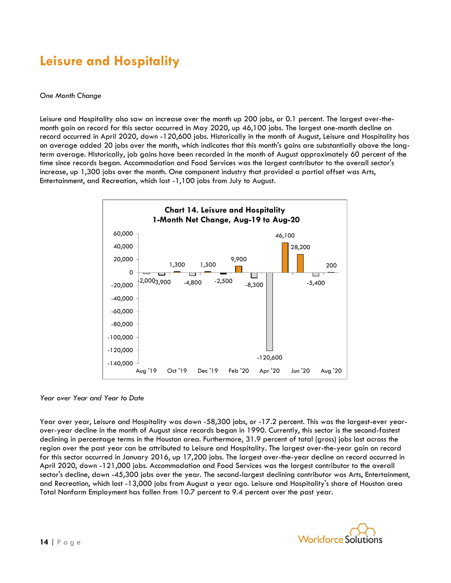## **Leisure and Hospitality**

#### *One Month Change*

Leisure and Hospitality also saw an increase over the month up 200 jobs, or 0.1 percent. The largest over-themonth gain on record for this sector occurred in May 2020, up 46,100 jobs. The largest one-month decline on record occurred in April 2020, down -120,600 jobs. Historically in the month of August, Leisure and Hospitality has on average added 20 jobs over the month, which indicates that this month's gains are substantially above the longterm average. Historically, job gains have been recorded in the month of August approximately 60 percent of the time since records began. Accommodation and Food Services was the largest contributor to the overall sector's increase, up 1,300 jobs over the month. One component industry that provided a partial offset was Arts, Entertainment, and Recreation, which lost -1,100 jobs from July to August.

![](_page_13_Figure_3.jpeg)

*Year over Year and Year to Date*

Year over year, Leisure and Hospitality was down -58,300 jobs, or -17.2 percent. This was the largest-ever yearover-year decline in the month of August since records began in 1990. Currently, this sector is the second-fastest declining in percentage terms in the Houston area. Furthermore, 31.9 percent of total (gross) jobs lost across the region over the past year can be attributed to Leisure and Hospitality. The largest over-the-year gain on record for this sector occurred in January 2016, up 17,200 jobs. The largest over-the-year decline on record occurred in April 2020, down -121,000 jobs. Accommodation and Food Services was the largest contributor to the overall sector's decline, down -45,300 jobs over the year. The second-largest declining contributor was Arts, Entertainment, and Recreation, which lost -13,000 jobs from August a year ago. Leisure and Hospitality's share of Houston area Total Nonfarm Employment has fallen from 10.7 percent to 9.4 percent over the past year.

![](_page_13_Picture_6.jpeg)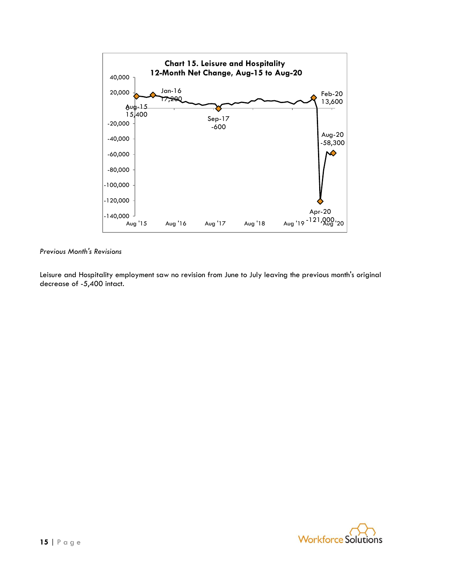![](_page_14_Figure_0.jpeg)

*Previous Month's Revisions*

Leisure and Hospitality employment saw no revision from June to July leaving the previous month's original decrease of -5,400 intact.

![](_page_14_Picture_3.jpeg)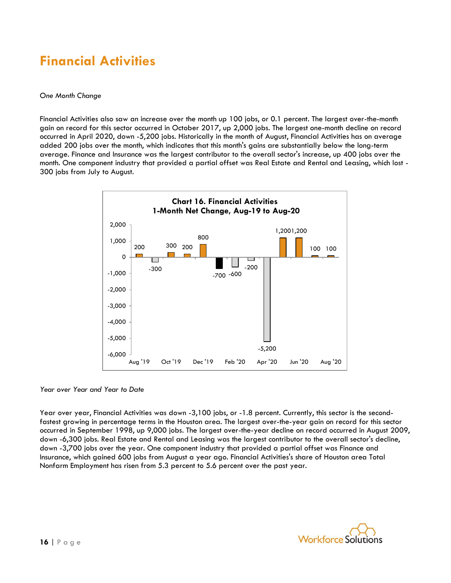### **Financial Activities**

#### *One Month Change*

Financial Activities also saw an increase over the month up 100 jobs, or 0.1 percent. The largest over-the-month gain on record for this sector occurred in October 2017, up 2,000 jobs. The largest one-month decline on record occurred in April 2020, down -5,200 jobs. Historically in the month of August, Financial Activities has on average added 200 jobs over the month, which indicates that this month's gains are substantially below the long-term average. Finance and Insurance was the largest contributor to the overall sector's increase, up 400 jobs over the month. One component industry that provided a partial offset was Real Estate and Rental and Leasing, which lost - 300 jobs from July to August.

![](_page_15_Figure_3.jpeg)

*Year over Year and Year to Date*

Year over year, Financial Activities was down -3,100 jobs, or -1.8 percent. Currently, this sector is the secondfastest growing in percentage terms in the Houston area. The largest over-the-year gain on record for this sector occurred in September 1998, up 9,000 jobs. The largest over-the-year decline on record occurred in August 2009, down -6,300 jobs. Real Estate and Rental and Leasing was the largest contributor to the overall sector's decline, down -3,700 jobs over the year. One component industry that provided a partial offset was Finance and Insurance, which gained 600 jobs from August a year ago. Financial Activities's share of Houston area Total Nonfarm Employment has risen from 5.3 percent to 5.6 percent over the past year.

![](_page_15_Picture_6.jpeg)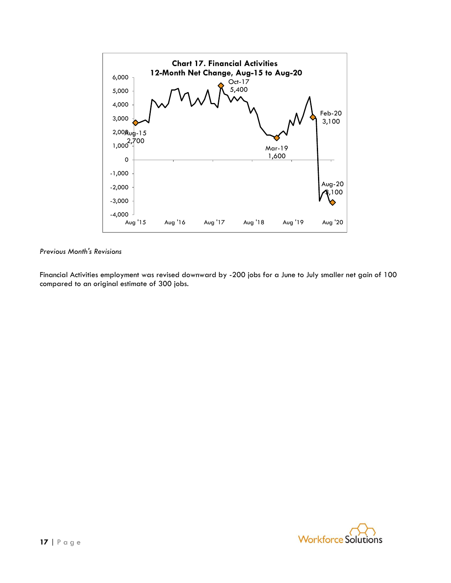![](_page_16_Figure_0.jpeg)

Financial Activities employment was revised downward by -200 jobs for a June to July smaller net gain of 100 compared to an original estimate of 300 jobs.

![](_page_16_Picture_3.jpeg)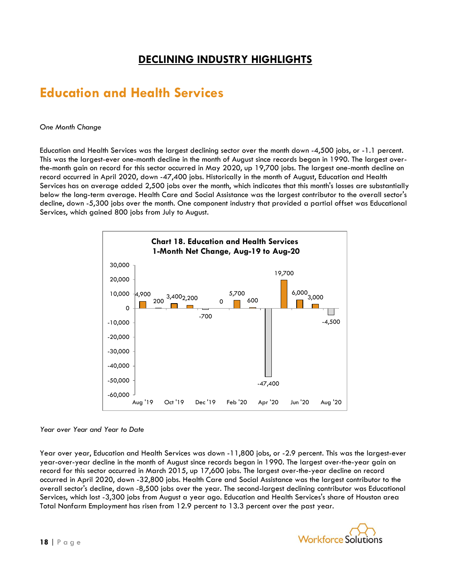### **DECLINING INDUSTRY HIGHLIGHTS**

### **Education and Health Services**

#### *One Month Change*

Education and Health Services was the largest declining sector over the month down -4,500 jobs, or -1.1 percent. This was the largest-ever one-month decline in the month of August since records began in 1990. The largest overthe-month gain on record for this sector occurred in May 2020, up 19,700 jobs. The largest one-month decline on record occurred in April 2020, down -47,400 jobs. Historically in the month of August, Education and Health Services has on average added 2,500 jobs over the month, which indicates that this month's losses are substantially below the long-term average. Health Care and Social Assistance was the largest contributor to the overall sector's decline, down -5,300 jobs over the month. One component industry that provided a partial offset was Educational Services, which gained 800 jobs from July to August.

![](_page_17_Figure_4.jpeg)

#### *Year over Year and Year to Date*

Year over year, Education and Health Services was down -11,800 jobs, or -2.9 percent. This was the largest-ever year-over-year decline in the month of August since records began in 1990. The largest over-the-year gain on record for this sector occurred in March 2015, up 17,600 jobs. The largest over-the-year decline on record occurred in April 2020, down -32,800 jobs. Health Care and Social Assistance was the largest contributor to the overall sector's decline, down -8,500 jobs over the year. The second-largest declining contributor was Educational Services, which lost -3,300 jobs from August a year ago. Education and Health Services's share of Houston area Total Nonfarm Employment has risen from 12.9 percent to 13.3 percent over the past year.

![](_page_17_Picture_7.jpeg)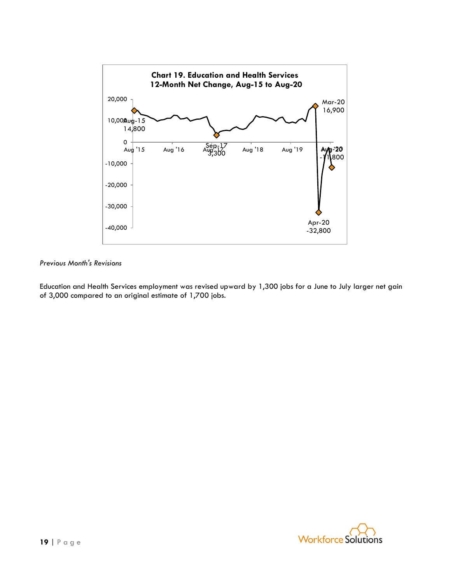![](_page_18_Figure_0.jpeg)

Education and Health Services employment was revised upward by 1,300 jobs for a June to July larger net gain of 3,000 compared to an original estimate of 1,700 jobs.

![](_page_18_Picture_3.jpeg)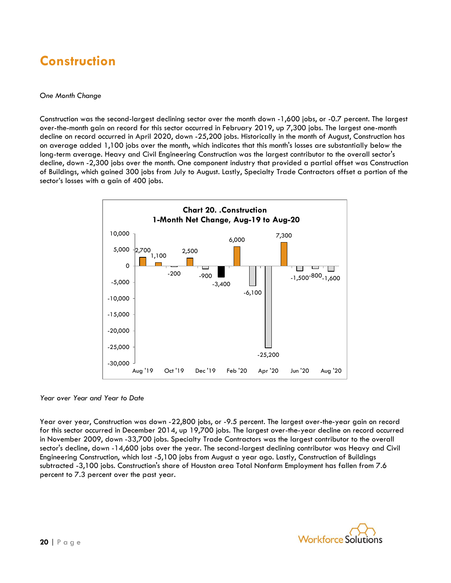## **Construction**

#### *One Month Change*

Construction was the second-largest declining sector over the month down -1,600 jobs, or -0.7 percent. The largest over-the-month gain on record for this sector occurred in February 2019, up 7,300 jobs. The largest one-month decline on record occurred in April 2020, down -25,200 jobs. Historically in the month of August, Construction has on average added 1,100 jobs over the month, which indicates that this month's losses are substantially below the long-term average. Heavy and Civil Engineering Construction was the largest contributor to the overall sector's decline, down -2,300 jobs over the month. One component industry that provided a partial offset was Construction of Buildings, which gained 300 jobs from July to August. Lastly, Specialty Trade Contractors offset a portion of the sector's losses with a gain of 400 jobs.

![](_page_19_Figure_3.jpeg)

*Year over Year and Year to Date*

Year over year, Construction was down -22,800 jobs, or -9.5 percent. The largest over-the-year gain on record for this sector occurred in December 2014, up 19,700 jobs. The largest over-the-year decline on record occurred in November 2009, down -33,700 jobs. Specialty Trade Contractors was the largest contributor to the overall sector's decline, down -14,600 jobs over the year. The second-largest declining contributor was Heavy and Civil Engineering Construction, which lost -5,100 jobs from August a year ago. Lastly, Construction of Buildings subtracted -3,100 jobs. Construction's share of Houston area Total Nonfarm Employment has fallen from 7.6 percent to 7.3 percent over the past year.

![](_page_19_Picture_6.jpeg)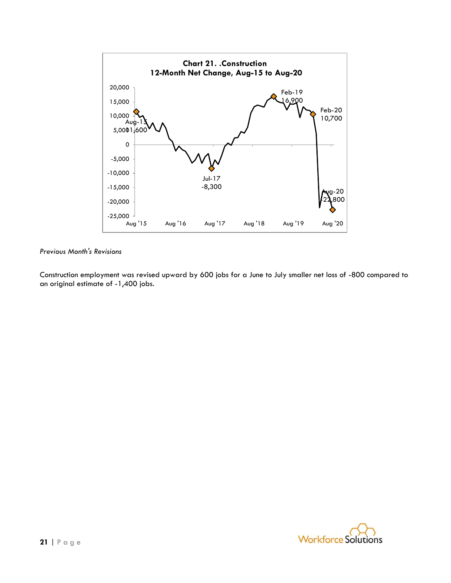![](_page_20_Figure_0.jpeg)

Construction employment was revised upward by 600 jobs for a June to July smaller net loss of -800 compared to an original estimate of -1,400 jobs.

![](_page_20_Picture_3.jpeg)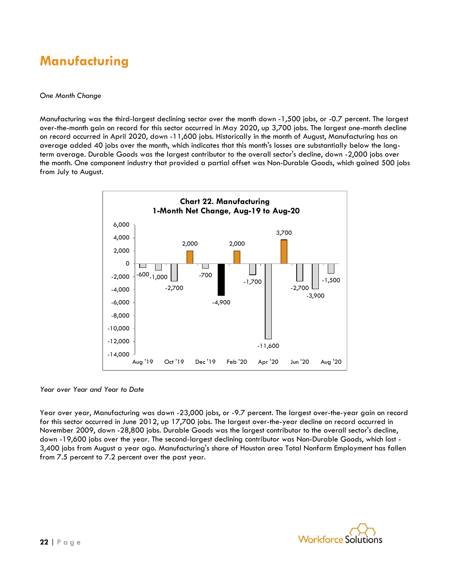### **Manufacturing**

#### *One Month Change*

Manufacturing was the third-largest declining sector over the month down -1,500 jobs, or -0.7 percent. The largest over-the-month gain on record for this sector occurred in May 2020, up 3,700 jobs. The largest one-month decline on record occurred in April 2020, down -11,600 jobs. Historically in the month of August, Manufacturing has on average added 40 jobs over the month, which indicates that this month's losses are substantially below the longterm average. Durable Goods was the largest contributor to the overall sector's decline, down -2,000 jobs over the month. One component industry that provided a partial offset was Non-Durable Goods, which gained 500 jobs from July to August.

![](_page_21_Figure_3.jpeg)

*Year over Year and Year to Date*

Year over year, Manufacturing was down -23,000 jobs, or -9.7 percent. The largest over-the-year gain on record for this sector occurred in June 2012, up 17,700 jobs. The largest over-the-year decline on record occurred in November 2009, down -28,800 jobs. Durable Goods was the largest contributor to the overall sector's decline, down -19,600 jobs over the year. The second-largest declining contributor was Non-Durable Goods, which lost - 3,400 jobs from August a year ago. Manufacturing's share of Houston area Total Nonfarm Employment has fallen from 7.5 percent to 7.2 percent over the past year.

![](_page_21_Picture_6.jpeg)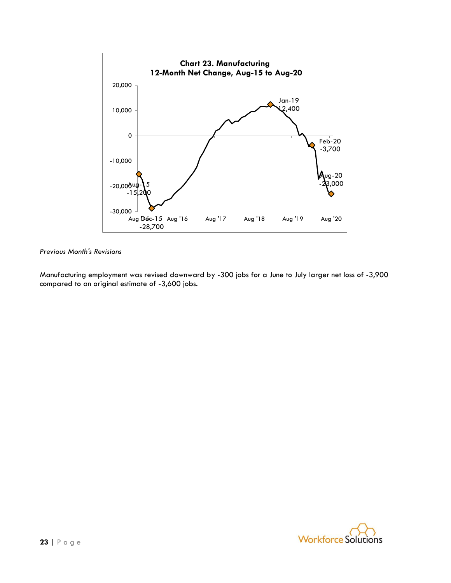![](_page_22_Figure_0.jpeg)

Manufacturing employment was revised downward by -300 jobs for a June to July larger net loss of -3,900 compared to an original estimate of -3,600 jobs.

![](_page_22_Picture_3.jpeg)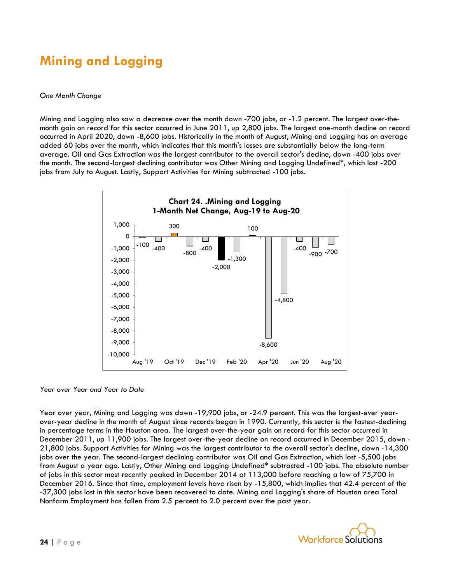## **Mining and Logging**

#### *One Month Change*

Mining and Logging also saw a decrease over the month down -700 jobs, or -1.2 percent. The largest over-themonth gain on record for this sector occurred in June 2011, up 2,800 jobs. The largest one-month decline on record occurred in April 2020, down -8,600 jobs. Historically in the month of August, Mining and Logging has on average added 60 jobs over the month, which indicates that this month's losses are substantially below the long-term average. Oil and Gas Extraction was the largest contributor to the overall sector's decline, down -400 jobs over the month. The second-largest declining contributor was Other Mining and Logging Undefined\*, which lost -200 jobs from July to August. Lastly, Support Activities for Mining subtracted -100 jobs.

![](_page_23_Figure_3.jpeg)

*Year over Year and Year to Date*

Year over year, Mining and Logging was down -19,900 jobs, or -24.9 percent. This was the largest-ever yearover-year decline in the month of August since records began in 1990. Currently, this sector is the fastest-declining in percentage terms in the Houston area. The largest over-the-year gain on record for this sector occurred in December 2011, up 11,900 jobs. The largest over-the-year decline on record occurred in December 2015, down - 21,800 jobs. Support Activities for Mining was the largest contributor to the overall sector's decline, down -14,300 jobs over the year. The second-largest declining contributor was Oil and Gas Extraction, which lost -5,500 jobs from August a year ago. Lastly, Other Mining and Logging Undefined\* subtracted -100 jobs. The absolute number of jobs in this sector most recently peaked in December 2014 at 113,000 before reaching a low of 75,700 in December 2016. Since that time, employment levels have risen by -15,800, which implies that 42.4 percent of the -37,300 jobs lost in this sector have been recovered to date. Mining and Logging's share of Houston area Total Nonfarm Employment has fallen from 2.5 percent to 2.0 percent over the past year.

![](_page_23_Picture_6.jpeg)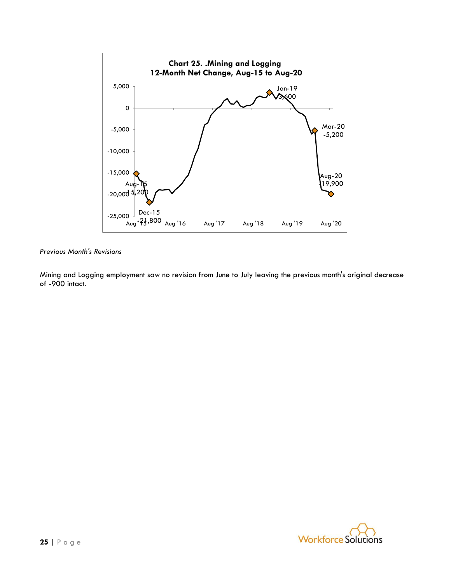![](_page_24_Figure_0.jpeg)

Mining and Logging employment saw no revision from June to July leaving the previous month's original decrease of -900 intact.

![](_page_24_Picture_3.jpeg)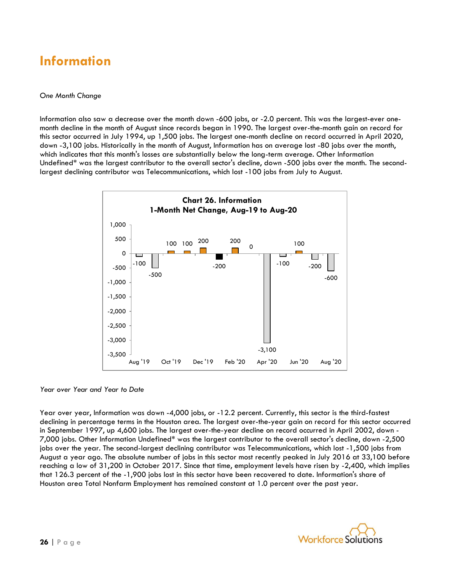### **Information**

#### *One Month Change*

Information also saw a decrease over the month down -600 jobs, or -2.0 percent. This was the largest-ever onemonth decline in the month of August since records began in 1990. The largest over-the-month gain on record for this sector occurred in July 1994, up 1,500 jobs. The largest one-month decline on record occurred in April 2020, down -3,100 jobs. Historically in the month of August, Information has on average lost -80 jobs over the month, which indicates that this month's losses are substantially below the long-term average. Other Information Undefined\* was the largest contributor to the overall sector's decline, down -500 jobs over the month. The secondlargest declining contributor was Telecommunications, which lost -100 jobs from July to August.

![](_page_25_Figure_3.jpeg)

*Year over Year and Year to Date*

Year over year, Information was down -4,000 jobs, or -12.2 percent. Currently, this sector is the third-fastest declining in percentage terms in the Houston area. The largest over-the-year gain on record for this sector occurred in September 1997, up 4,600 jobs. The largest over-the-year decline on record occurred in April 2002, down - 7,000 jobs. Other Information Undefined\* was the largest contributor to the overall sector's decline, down -2,500 jobs over the year. The second-largest declining contributor was Telecommunications, which lost -1,500 jobs from August a year ago. The absolute number of jobs in this sector most recently peaked in July 2016 at 33,100 before reaching a low of 31,200 in October 2017. Since that time, employment levels have risen by -2,400, which implies that 126.3 percent of the -1,900 jobs lost in this sector have been recovered to date. Information's share of Houston area Total Nonfarm Employment has remained constant at 1.0 percent over the past year.

![](_page_25_Picture_6.jpeg)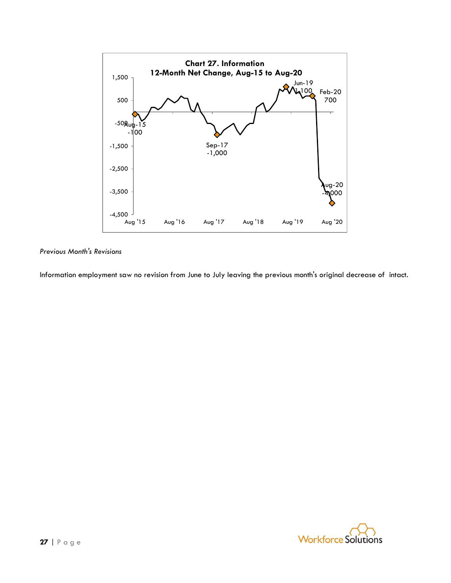![](_page_26_Figure_0.jpeg)

Information employment saw no revision from June to July leaving the previous month's original decrease of intact.

![](_page_26_Picture_3.jpeg)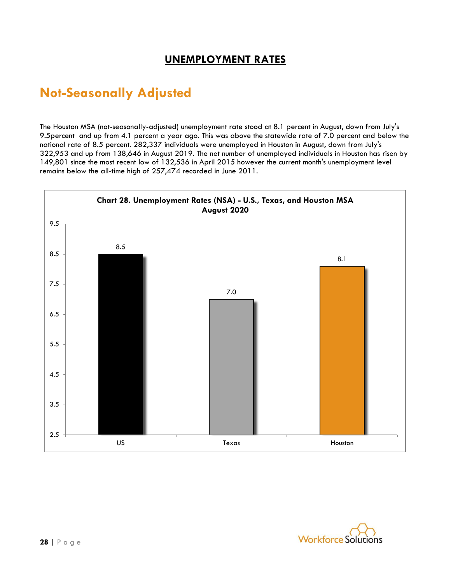### **UNEMPLOYMENT RATES**

### **Not-Seasonally Adjusted**

The Houston MSA (not-seasonally-adjusted) unemployment rate stood at 8.1 percent in August, down from July's 9.5percent and up from 4.1 percent a year ago. This was above the statewide rate of 7.0 percent and below the national rate of 8.5 percent. 282,337 individuals were unemployed in Houston in August, down from July's 322,953 and up from 138,646 in August 2019. The net number of unemployed individuals in Houston has risen by 149,801 since the most recent low of 132,536 in April 2015 however the current month's unemployment level remains below the all-time high of 257,474 recorded in June 2011.

![](_page_27_Figure_3.jpeg)

![](_page_27_Picture_4.jpeg)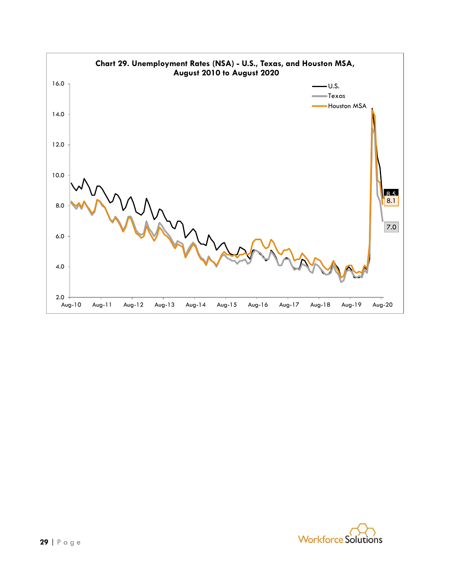![](_page_28_Figure_0.jpeg)

![](_page_28_Picture_1.jpeg)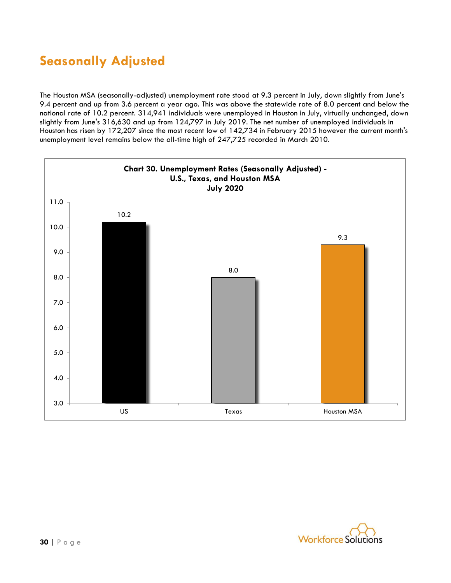## **Seasonally Adjusted**

The Houston MSA (seasonally-adjusted) unemployment rate stood at 9.3 percent in July, down slightly from June's 9.4 percent and up from 3.6 percent a year ago. This was above the statewide rate of 8.0 percent and below the national rate of 10.2 percent. 314,941 individuals were unemployed in Houston in July, virtually unchanged, down slightly from June's 316,630 and up from 124,797 in July 2019. The net number of unemployed individuals in Houston has risen by 172,207 since the most recent low of 142,734 in February 2015 however the current month's unemployment level remains below the all-time high of 247,725 recorded in March 2010.

![](_page_29_Figure_2.jpeg)

![](_page_29_Picture_3.jpeg)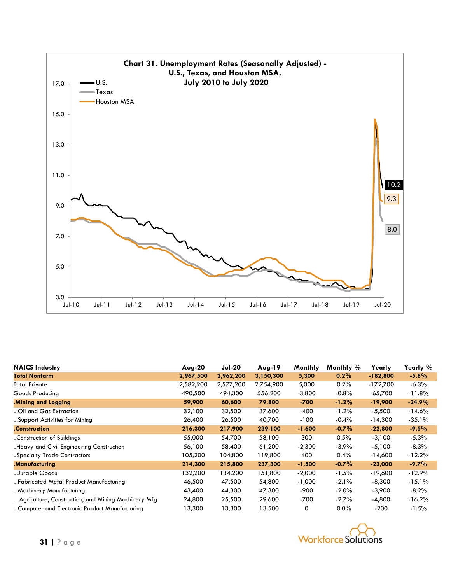![](_page_30_Figure_0.jpeg)

| <b>NAICS Industry</b>                                | $Auq-20$  | <b>Jul-20</b> | $Aug-19$  | Monthly  | Monthly % | Yearly     | Yearly %  |
|------------------------------------------------------|-----------|---------------|-----------|----------|-----------|------------|-----------|
| <b>Total Nonfarm</b>                                 | 2,967,500 | 2,962,200     | 3,150,300 | 5,300    | $0.2\%$   | $-182,800$ | $-5.8\%$  |
| <b>Total Private</b>                                 | 2,582,200 | 2,577,200     | 2,754,900 | 5,000    | 0.2%      | $-172,700$ | $-6.3\%$  |
| Goods Producing                                      | 490,500   | 494,300       | 556,200   | $-3,800$ | $-0.8%$   | $-65,700$  | $-11.8%$  |
| Mining and Logging                                   | 59,900    | 60,600        | 79,800    | -700     | $-1.2%$   | $-19,900$  | $-24.9\%$ |
| Oil and Gas Extraction                               | 32,100    | 32,500        | 37,600    | $-400$   | $-1.2%$   | $-5,500$   | $-14.6%$  |
| Support Activities for Mining                        | 26,400    | 26,500        | 40,700    | -100     | $-0.4%$   | $-14,300$  | $-35.1%$  |
| .Construction                                        | 216,300   | 217,900       | 239,100   | $-1,600$ | $-0.7\%$  | $-22,800$  | $-9.5\%$  |
| .Construction of Buildings                           | 55,000    | 54,700        | 58,100    | 300      | 0.5%      | $-3,100$   | $-5.3%$   |
| Heavy and Civil Engineering Construction             | 56,100    | 58,400        | 61,200    | $-2,300$ | $-3.9%$   | $-5,100$   | $-8.3%$   |
| "Specialty Trade Contractors                         | 105,200   | 104,800       | 119,800   | 400      | 0.4%      | $-14,600$  | $-12.2%$  |
| .Manufacturing                                       | 214,300   | 215,800       | 237,300   | $-1,500$ | $-0.7\%$  | $-23,000$  | $-9.7\%$  |
| "Durable Goods                                       | 132,200   | 134,200       | 151,800   | $-2,000$ | $-1.5\%$  | -19,600    | $-12.9%$  |
| "Fabricated Metal Product Manufacturing              | 46,500    | 47,500        | 54,800    | $-1,000$ | $-2.1%$   | $-8,300$   | $-15.1%$  |
| Machinery Manufacturing                              | 43,400    | 44,300        | 47,300    | -900     | $-2.0\%$  | $-3,900$   | $-8.2\%$  |
| Agriculture, Construction, and Mining Machinery Mfg. | 24,800    | 25,500        | 29,600    | -700     | $-2.7%$   | -4,800     | $-16.2%$  |
| Computer and Electronic Product Manufacturing        | 13,300    | 13,300        | 13,500    | 0        | $0.0\%$   | -200       | $-1.5\%$  |

![](_page_30_Picture_2.jpeg)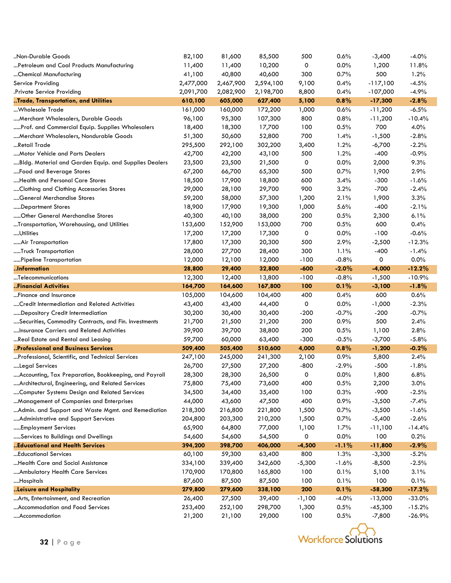| 82,100<br>85,500<br>$-3,400$<br>0.0%<br>11,400<br>11,400<br>10,200<br>0<br>1,200<br>11.8%<br>Petroleum and Coal Products Manufacturing<br>1.2%<br>41,100<br>40,800<br>40,600<br>300<br>0.7%<br>500<br>Chemical Manufacturing<br>Service Providing<br>2,477,000<br>2,594,100<br>9,100<br>0.4%<br>$-117,100$<br>$-4.5%$<br>2,467,900<br>2,082,900<br>2,198,700<br>8,800<br>0.4%<br>$-107,000$<br>$-4.9%$<br>Private Service Providing.<br>2,091,700<br>Trade, Transportation, and Utilities<br>605,000<br>627,400<br>0.8%<br>$-17,300$<br>$-2.8%$<br>610,100<br>5,100<br>161,000<br>160,000<br>172,200<br>1,000<br>0.6%<br>$-11,200$<br>$-6.5%$<br>…Wholesale Trade<br>96,100<br>95,300<br>107,300<br>800<br>0.8%<br>$-10.4%$<br>Merchant Wholesalers, Durable Goods<br>$-11,200$<br>4.0%<br>Prof. and Commercial Equip. Supplies Wholesalers<br>18,300<br>17,700<br>100<br>0.5%<br>700<br>18,400<br>700<br>$-2.8%$<br>Merchant Wholesalers, Nondurable Goods<br>51,300<br>50,600<br>52,800<br>1.4%<br>$-1,500$<br>"Retail Trade<br>295,500<br>292,100<br>302,200<br>3,400<br>1.2%<br>$-6,700$<br>$-2.2%$<br>$-0.9%$<br>42,700<br>42,200<br>43,100<br>500<br>1.2%<br>$-400$<br>Motor Vehicle and Parts Dealers<br>9.3%<br>Bldg. Material and Garden Equip. and Supplies Dealers<br>23,500<br>23,500<br>21,500<br>0<br>0.0%<br>2,000<br>0.7%<br>2.9%<br>67,200<br>66,700<br>65,300<br>500<br>1,900<br>Food and Beverage Stores<br>Health and Personal Care Stores<br>18,500<br>17,900<br>18,800<br>600<br>3.4%<br>$-300$<br>$-1.6%$<br>Clothing and Clothing Accessories Stores<br>29,000<br>28,100<br>29,700<br>900<br>3.2%<br>$-700$<br>$-2.4%$<br>3.3%<br>59,200<br>58,000<br>57,300<br>1,200<br>2.1%<br>1,900<br>General Merchandise Stores<br>18,900<br>17,900<br>19,300<br>1,000<br>5.6%<br>$-400$<br>$-2.1%$<br>Department Stores<br>6.1%<br>40,300<br>40,100<br>38,000<br>200<br>0.5%<br>2,300<br>Other General Merchandise Stores<br>0.4%<br>152,900<br>153,000<br>700<br>0.5%<br>600<br>Transportation, Warehousing, and Utilities<br>153,600<br>$-0.6%$<br>17,200<br>17,200<br>17,300<br>0<br>0.0%<br>$-100$<br>…Utilities<br>17,800<br>17,300<br>20,300<br>500<br>2.9%<br>$-2,500$<br>$-12.3%$<br>Air Transportation<br>28,000<br>27,700<br>300<br>1.1%<br>$-400$<br>$-1.4%$<br>Truck Transportation<br>28,400<br>0<br>0.0%<br>12,000<br>12,100<br>12,000<br>$-100$<br>$-0.8%$<br>Pipeline Transportation<br>Information<br>29,400<br>32,800<br>$-600$<br>$-2.0%$<br>$-4,000$<br>$-12.2%$<br>28,800<br>12,300<br>12,400<br>13,800<br>$-100$<br>$-0.8%$<br>$-1,500$<br>$-10.9%$<br>Telecommunications<br>$-1.8%$<br>Financial Activities<br>164,700<br>164,600<br>167,800<br>100<br>0.1%<br>$-3,100$<br>0.6%<br>Finance and Insurance<br>105,000<br>104,600<br>400<br>0.4%<br>600<br>104,400<br>43,400<br>43,400<br>44,400<br>0<br>0.0%<br>$-1,000$<br>$-2.3%$<br>Credit Intermediation and Related Activities<br>$-0.7%$<br>30,400<br>$-200$<br>$-0.7%$<br>$-200$<br>Depository Credit Intermediation<br>30,200<br>30,400<br>500<br>Securities, Commodity Contracts, and Fin. Investments<br>21,700<br>21,500<br>21,200<br>200<br>0.9%<br>2.4% |
|---------------------------------------------------------------------------------------------------------------------------------------------------------------------------------------------------------------------------------------------------------------------------------------------------------------------------------------------------------------------------------------------------------------------------------------------------------------------------------------------------------------------------------------------------------------------------------------------------------------------------------------------------------------------------------------------------------------------------------------------------------------------------------------------------------------------------------------------------------------------------------------------------------------------------------------------------------------------------------------------------------------------------------------------------------------------------------------------------------------------------------------------------------------------------------------------------------------------------------------------------------------------------------------------------------------------------------------------------------------------------------------------------------------------------------------------------------------------------------------------------------------------------------------------------------------------------------------------------------------------------------------------------------------------------------------------------------------------------------------------------------------------------------------------------------------------------------------------------------------------------------------------------------------------------------------------------------------------------------------------------------------------------------------------------------------------------------------------------------------------------------------------------------------------------------------------------------------------------------------------------------------------------------------------------------------------------------------------------------------------------------------------------------------------------------------------------------------------------------------------------------------------------------------------------------------------------------------------------------------------------------------------------------------------------------------------------------------------------------------------------------------------------------------------------------------------------------------------------------------------------------------------------------------------------------------------------------------------------------------------------------------------------------------------------------------------------------------------------------------------------------------------------------|
|                                                                                                                                                                                                                                                                                                                                                                                                                                                                                                                                                                                                                                                                                                                                                                                                                                                                                                                                                                                                                                                                                                                                                                                                                                                                                                                                                                                                                                                                                                                                                                                                                                                                                                                                                                                                                                                                                                                                                                                                                                                                                                                                                                                                                                                                                                                                                                                                                                                                                                                                                                                                                                                                                                                                                                                                                                                                                                                                                                                                                                                                                                                                                         |
|                                                                                                                                                                                                                                                                                                                                                                                                                                                                                                                                                                                                                                                                                                                                                                                                                                                                                                                                                                                                                                                                                                                                                                                                                                                                                                                                                                                                                                                                                                                                                                                                                                                                                                                                                                                                                                                                                                                                                                                                                                                                                                                                                                                                                                                                                                                                                                                                                                                                                                                                                                                                                                                                                                                                                                                                                                                                                                                                                                                                                                                                                                                                                         |
|                                                                                                                                                                                                                                                                                                                                                                                                                                                                                                                                                                                                                                                                                                                                                                                                                                                                                                                                                                                                                                                                                                                                                                                                                                                                                                                                                                                                                                                                                                                                                                                                                                                                                                                                                                                                                                                                                                                                                                                                                                                                                                                                                                                                                                                                                                                                                                                                                                                                                                                                                                                                                                                                                                                                                                                                                                                                                                                                                                                                                                                                                                                                                         |
|                                                                                                                                                                                                                                                                                                                                                                                                                                                                                                                                                                                                                                                                                                                                                                                                                                                                                                                                                                                                                                                                                                                                                                                                                                                                                                                                                                                                                                                                                                                                                                                                                                                                                                                                                                                                                                                                                                                                                                                                                                                                                                                                                                                                                                                                                                                                                                                                                                                                                                                                                                                                                                                                                                                                                                                                                                                                                                                                                                                                                                                                                                                                                         |
|                                                                                                                                                                                                                                                                                                                                                                                                                                                                                                                                                                                                                                                                                                                                                                                                                                                                                                                                                                                                                                                                                                                                                                                                                                                                                                                                                                                                                                                                                                                                                                                                                                                                                                                                                                                                                                                                                                                                                                                                                                                                                                                                                                                                                                                                                                                                                                                                                                                                                                                                                                                                                                                                                                                                                                                                                                                                                                                                                                                                                                                                                                                                                         |
|                                                                                                                                                                                                                                                                                                                                                                                                                                                                                                                                                                                                                                                                                                                                                                                                                                                                                                                                                                                                                                                                                                                                                                                                                                                                                                                                                                                                                                                                                                                                                                                                                                                                                                                                                                                                                                                                                                                                                                                                                                                                                                                                                                                                                                                                                                                                                                                                                                                                                                                                                                                                                                                                                                                                                                                                                                                                                                                                                                                                                                                                                                                                                         |
|                                                                                                                                                                                                                                                                                                                                                                                                                                                                                                                                                                                                                                                                                                                                                                                                                                                                                                                                                                                                                                                                                                                                                                                                                                                                                                                                                                                                                                                                                                                                                                                                                                                                                                                                                                                                                                                                                                                                                                                                                                                                                                                                                                                                                                                                                                                                                                                                                                                                                                                                                                                                                                                                                                                                                                                                                                                                                                                                                                                                                                                                                                                                                         |
|                                                                                                                                                                                                                                                                                                                                                                                                                                                                                                                                                                                                                                                                                                                                                                                                                                                                                                                                                                                                                                                                                                                                                                                                                                                                                                                                                                                                                                                                                                                                                                                                                                                                                                                                                                                                                                                                                                                                                                                                                                                                                                                                                                                                                                                                                                                                                                                                                                                                                                                                                                                                                                                                                                                                                                                                                                                                                                                                                                                                                                                                                                                                                         |
|                                                                                                                                                                                                                                                                                                                                                                                                                                                                                                                                                                                                                                                                                                                                                                                                                                                                                                                                                                                                                                                                                                                                                                                                                                                                                                                                                                                                                                                                                                                                                                                                                                                                                                                                                                                                                                                                                                                                                                                                                                                                                                                                                                                                                                                                                                                                                                                                                                                                                                                                                                                                                                                                                                                                                                                                                                                                                                                                                                                                                                                                                                                                                         |
|                                                                                                                                                                                                                                                                                                                                                                                                                                                                                                                                                                                                                                                                                                                                                                                                                                                                                                                                                                                                                                                                                                                                                                                                                                                                                                                                                                                                                                                                                                                                                                                                                                                                                                                                                                                                                                                                                                                                                                                                                                                                                                                                                                                                                                                                                                                                                                                                                                                                                                                                                                                                                                                                                                                                                                                                                                                                                                                                                                                                                                                                                                                                                         |
|                                                                                                                                                                                                                                                                                                                                                                                                                                                                                                                                                                                                                                                                                                                                                                                                                                                                                                                                                                                                                                                                                                                                                                                                                                                                                                                                                                                                                                                                                                                                                                                                                                                                                                                                                                                                                                                                                                                                                                                                                                                                                                                                                                                                                                                                                                                                                                                                                                                                                                                                                                                                                                                                                                                                                                                                                                                                                                                                                                                                                                                                                                                                                         |
|                                                                                                                                                                                                                                                                                                                                                                                                                                                                                                                                                                                                                                                                                                                                                                                                                                                                                                                                                                                                                                                                                                                                                                                                                                                                                                                                                                                                                                                                                                                                                                                                                                                                                                                                                                                                                                                                                                                                                                                                                                                                                                                                                                                                                                                                                                                                                                                                                                                                                                                                                                                                                                                                                                                                                                                                                                                                                                                                                                                                                                                                                                                                                         |
|                                                                                                                                                                                                                                                                                                                                                                                                                                                                                                                                                                                                                                                                                                                                                                                                                                                                                                                                                                                                                                                                                                                                                                                                                                                                                                                                                                                                                                                                                                                                                                                                                                                                                                                                                                                                                                                                                                                                                                                                                                                                                                                                                                                                                                                                                                                                                                                                                                                                                                                                                                                                                                                                                                                                                                                                                                                                                                                                                                                                                                                                                                                                                         |
|                                                                                                                                                                                                                                                                                                                                                                                                                                                                                                                                                                                                                                                                                                                                                                                                                                                                                                                                                                                                                                                                                                                                                                                                                                                                                                                                                                                                                                                                                                                                                                                                                                                                                                                                                                                                                                                                                                                                                                                                                                                                                                                                                                                                                                                                                                                                                                                                                                                                                                                                                                                                                                                                                                                                                                                                                                                                                                                                                                                                                                                                                                                                                         |
|                                                                                                                                                                                                                                                                                                                                                                                                                                                                                                                                                                                                                                                                                                                                                                                                                                                                                                                                                                                                                                                                                                                                                                                                                                                                                                                                                                                                                                                                                                                                                                                                                                                                                                                                                                                                                                                                                                                                                                                                                                                                                                                                                                                                                                                                                                                                                                                                                                                                                                                                                                                                                                                                                                                                                                                                                                                                                                                                                                                                                                                                                                                                                         |
|                                                                                                                                                                                                                                                                                                                                                                                                                                                                                                                                                                                                                                                                                                                                                                                                                                                                                                                                                                                                                                                                                                                                                                                                                                                                                                                                                                                                                                                                                                                                                                                                                                                                                                                                                                                                                                                                                                                                                                                                                                                                                                                                                                                                                                                                                                                                                                                                                                                                                                                                                                                                                                                                                                                                                                                                                                                                                                                                                                                                                                                                                                                                                         |
|                                                                                                                                                                                                                                                                                                                                                                                                                                                                                                                                                                                                                                                                                                                                                                                                                                                                                                                                                                                                                                                                                                                                                                                                                                                                                                                                                                                                                                                                                                                                                                                                                                                                                                                                                                                                                                                                                                                                                                                                                                                                                                                                                                                                                                                                                                                                                                                                                                                                                                                                                                                                                                                                                                                                                                                                                                                                                                                                                                                                                                                                                                                                                         |
|                                                                                                                                                                                                                                                                                                                                                                                                                                                                                                                                                                                                                                                                                                                                                                                                                                                                                                                                                                                                                                                                                                                                                                                                                                                                                                                                                                                                                                                                                                                                                                                                                                                                                                                                                                                                                                                                                                                                                                                                                                                                                                                                                                                                                                                                                                                                                                                                                                                                                                                                                                                                                                                                                                                                                                                                                                                                                                                                                                                                                                                                                                                                                         |
|                                                                                                                                                                                                                                                                                                                                                                                                                                                                                                                                                                                                                                                                                                                                                                                                                                                                                                                                                                                                                                                                                                                                                                                                                                                                                                                                                                                                                                                                                                                                                                                                                                                                                                                                                                                                                                                                                                                                                                                                                                                                                                                                                                                                                                                                                                                                                                                                                                                                                                                                                                                                                                                                                                                                                                                                                                                                                                                                                                                                                                                                                                                                                         |
|                                                                                                                                                                                                                                                                                                                                                                                                                                                                                                                                                                                                                                                                                                                                                                                                                                                                                                                                                                                                                                                                                                                                                                                                                                                                                                                                                                                                                                                                                                                                                                                                                                                                                                                                                                                                                                                                                                                                                                                                                                                                                                                                                                                                                                                                                                                                                                                                                                                                                                                                                                                                                                                                                                                                                                                                                                                                                                                                                                                                                                                                                                                                                         |
|                                                                                                                                                                                                                                                                                                                                                                                                                                                                                                                                                                                                                                                                                                                                                                                                                                                                                                                                                                                                                                                                                                                                                                                                                                                                                                                                                                                                                                                                                                                                                                                                                                                                                                                                                                                                                                                                                                                                                                                                                                                                                                                                                                                                                                                                                                                                                                                                                                                                                                                                                                                                                                                                                                                                                                                                                                                                                                                                                                                                                                                                                                                                                         |
|                                                                                                                                                                                                                                                                                                                                                                                                                                                                                                                                                                                                                                                                                                                                                                                                                                                                                                                                                                                                                                                                                                                                                                                                                                                                                                                                                                                                                                                                                                                                                                                                                                                                                                                                                                                                                                                                                                                                                                                                                                                                                                                                                                                                                                                                                                                                                                                                                                                                                                                                                                                                                                                                                                                                                                                                                                                                                                                                                                                                                                                                                                                                                         |
|                                                                                                                                                                                                                                                                                                                                                                                                                                                                                                                                                                                                                                                                                                                                                                                                                                                                                                                                                                                                                                                                                                                                                                                                                                                                                                                                                                                                                                                                                                                                                                                                                                                                                                                                                                                                                                                                                                                                                                                                                                                                                                                                                                                                                                                                                                                                                                                                                                                                                                                                                                                                                                                                                                                                                                                                                                                                                                                                                                                                                                                                                                                                                         |
|                                                                                                                                                                                                                                                                                                                                                                                                                                                                                                                                                                                                                                                                                                                                                                                                                                                                                                                                                                                                                                                                                                                                                                                                                                                                                                                                                                                                                                                                                                                                                                                                                                                                                                                                                                                                                                                                                                                                                                                                                                                                                                                                                                                                                                                                                                                                                                                                                                                                                                                                                                                                                                                                                                                                                                                                                                                                                                                                                                                                                                                                                                                                                         |
|                                                                                                                                                                                                                                                                                                                                                                                                                                                                                                                                                                                                                                                                                                                                                                                                                                                                                                                                                                                                                                                                                                                                                                                                                                                                                                                                                                                                                                                                                                                                                                                                                                                                                                                                                                                                                                                                                                                                                                                                                                                                                                                                                                                                                                                                                                                                                                                                                                                                                                                                                                                                                                                                                                                                                                                                                                                                                                                                                                                                                                                                                                                                                         |
|                                                                                                                                                                                                                                                                                                                                                                                                                                                                                                                                                                                                                                                                                                                                                                                                                                                                                                                                                                                                                                                                                                                                                                                                                                                                                                                                                                                                                                                                                                                                                                                                                                                                                                                                                                                                                                                                                                                                                                                                                                                                                                                                                                                                                                                                                                                                                                                                                                                                                                                                                                                                                                                                                                                                                                                                                                                                                                                                                                                                                                                                                                                                                         |
|                                                                                                                                                                                                                                                                                                                                                                                                                                                                                                                                                                                                                                                                                                                                                                                                                                                                                                                                                                                                                                                                                                                                                                                                                                                                                                                                                                                                                                                                                                                                                                                                                                                                                                                                                                                                                                                                                                                                                                                                                                                                                                                                                                                                                                                                                                                                                                                                                                                                                                                                                                                                                                                                                                                                                                                                                                                                                                                                                                                                                                                                                                                                                         |
|                                                                                                                                                                                                                                                                                                                                                                                                                                                                                                                                                                                                                                                                                                                                                                                                                                                                                                                                                                                                                                                                                                                                                                                                                                                                                                                                                                                                                                                                                                                                                                                                                                                                                                                                                                                                                                                                                                                                                                                                                                                                                                                                                                                                                                                                                                                                                                                                                                                                                                                                                                                                                                                                                                                                                                                                                                                                                                                                                                                                                                                                                                                                                         |
|                                                                                                                                                                                                                                                                                                                                                                                                                                                                                                                                                                                                                                                                                                                                                                                                                                                                                                                                                                                                                                                                                                                                                                                                                                                                                                                                                                                                                                                                                                                                                                                                                                                                                                                                                                                                                                                                                                                                                                                                                                                                                                                                                                                                                                                                                                                                                                                                                                                                                                                                                                                                                                                                                                                                                                                                                                                                                                                                                                                                                                                                                                                                                         |
|                                                                                                                                                                                                                                                                                                                                                                                                                                                                                                                                                                                                                                                                                                                                                                                                                                                                                                                                                                                                                                                                                                                                                                                                                                                                                                                                                                                                                                                                                                                                                                                                                                                                                                                                                                                                                                                                                                                                                                                                                                                                                                                                                                                                                                                                                                                                                                                                                                                                                                                                                                                                                                                                                                                                                                                                                                                                                                                                                                                                                                                                                                                                                         |
| 2.8%<br>Insurance Carriers and Related Activities<br>39,700<br>38,800<br>200<br>0.5%<br>1,100<br>39,900                                                                                                                                                                                                                                                                                                                                                                                                                                                                                                                                                                                                                                                                                                                                                                                                                                                                                                                                                                                                                                                                                                                                                                                                                                                                                                                                                                                                                                                                                                                                                                                                                                                                                                                                                                                                                                                                                                                                                                                                                                                                                                                                                                                                                                                                                                                                                                                                                                                                                                                                                                                                                                                                                                                                                                                                                                                                                                                                                                                                                                                 |
| Real Estate and Rental and Leasing<br>60,000<br>$-300$<br>$-0.5%$<br>$-3,700$<br>$-5.8%$<br>59,700<br>63,400                                                                                                                                                                                                                                                                                                                                                                                                                                                                                                                                                                                                                                                                                                                                                                                                                                                                                                                                                                                                                                                                                                                                                                                                                                                                                                                                                                                                                                                                                                                                                                                                                                                                                                                                                                                                                                                                                                                                                                                                                                                                                                                                                                                                                                                                                                                                                                                                                                                                                                                                                                                                                                                                                                                                                                                                                                                                                                                                                                                                                                            |
| $-0.2%$<br>Professional and Business Services<br>505,400<br>510,600<br>4,000<br>0.8%<br>509,400<br>$-1,200$                                                                                                                                                                                                                                                                                                                                                                                                                                                                                                                                                                                                                                                                                                                                                                                                                                                                                                                                                                                                                                                                                                                                                                                                                                                                                                                                                                                                                                                                                                                                                                                                                                                                                                                                                                                                                                                                                                                                                                                                                                                                                                                                                                                                                                                                                                                                                                                                                                                                                                                                                                                                                                                                                                                                                                                                                                                                                                                                                                                                                                             |
| Professional, Scientific, and Technical Services<br>247,100<br>245,000<br>241,300<br>2,100<br>0.9%<br>5,800<br>2.4%                                                                                                                                                                                                                                                                                                                                                                                                                                                                                                                                                                                                                                                                                                                                                                                                                                                                                                                                                                                                                                                                                                                                                                                                                                                                                                                                                                                                                                                                                                                                                                                                                                                                                                                                                                                                                                                                                                                                                                                                                                                                                                                                                                                                                                                                                                                                                                                                                                                                                                                                                                                                                                                                                                                                                                                                                                                                                                                                                                                                                                     |
| Legal Services<br>26,700<br>27,500<br>27,200<br>$-800$<br>$-2.9%$<br>$-500$<br>$-1.8%$                                                                                                                                                                                                                                                                                                                                                                                                                                                                                                                                                                                                                                                                                                                                                                                                                                                                                                                                                                                                                                                                                                                                                                                                                                                                                                                                                                                                                                                                                                                                                                                                                                                                                                                                                                                                                                                                                                                                                                                                                                                                                                                                                                                                                                                                                                                                                                                                                                                                                                                                                                                                                                                                                                                                                                                                                                                                                                                                                                                                                                                                  |
| 28,300<br>28,300<br>26,500<br>0<br>0.0%<br>1,800<br>6.8%<br>Accounting, Tax Preparation, Bookkeeping, and Payroll                                                                                                                                                                                                                                                                                                                                                                                                                                                                                                                                                                                                                                                                                                                                                                                                                                                                                                                                                                                                                                                                                                                                                                                                                                                                                                                                                                                                                                                                                                                                                                                                                                                                                                                                                                                                                                                                                                                                                                                                                                                                                                                                                                                                                                                                                                                                                                                                                                                                                                                                                                                                                                                                                                                                                                                                                                                                                                                                                                                                                                       |
| Architectural, Engineering, and Related Services<br>75,800<br>75,400<br>73,600<br>400<br>0.5%<br>2,200<br>3.0%                                                                                                                                                                                                                                                                                                                                                                                                                                                                                                                                                                                                                                                                                                                                                                                                                                                                                                                                                                                                                                                                                                                                                                                                                                                                                                                                                                                                                                                                                                                                                                                                                                                                                                                                                                                                                                                                                                                                                                                                                                                                                                                                                                                                                                                                                                                                                                                                                                                                                                                                                                                                                                                                                                                                                                                                                                                                                                                                                                                                                                          |
| 34,500<br>34,400<br>35,400<br>100<br>0.3%<br>$-900$<br>$-2.5%$<br>Computer Systems Design and Related Services                                                                                                                                                                                                                                                                                                                                                                                                                                                                                                                                                                                                                                                                                                                                                                                                                                                                                                                                                                                                                                                                                                                                                                                                                                                                                                                                                                                                                                                                                                                                                                                                                                                                                                                                                                                                                                                                                                                                                                                                                                                                                                                                                                                                                                                                                                                                                                                                                                                                                                                                                                                                                                                                                                                                                                                                                                                                                                                                                                                                                                          |
| 400<br>0.9%<br>Management of Companies and Enterprises<br>44,000<br>43,600<br>47,500<br>$-3,500$<br>$-7.4%$                                                                                                                                                                                                                                                                                                                                                                                                                                                                                                                                                                                                                                                                                                                                                                                                                                                                                                                                                                                                                                                                                                                                                                                                                                                                                                                                                                                                                                                                                                                                                                                                                                                                                                                                                                                                                                                                                                                                                                                                                                                                                                                                                                                                                                                                                                                                                                                                                                                                                                                                                                                                                                                                                                                                                                                                                                                                                                                                                                                                                                             |
| Admin. and Support and Waste Mgmt. and Remediation<br>218,300<br>216,800<br>221,800<br>1,500<br>0.7%<br>$-1.6%$<br>$-3,500$                                                                                                                                                                                                                                                                                                                                                                                                                                                                                                                                                                                                                                                                                                                                                                                                                                                                                                                                                                                                                                                                                                                                                                                                                                                                                                                                                                                                                                                                                                                                                                                                                                                                                                                                                                                                                                                                                                                                                                                                                                                                                                                                                                                                                                                                                                                                                                                                                                                                                                                                                                                                                                                                                                                                                                                                                                                                                                                                                                                                                             |
| Administrative and Support Services<br>204,800<br>203,300<br>210,200<br>1,500<br>0.7%<br>$-2.6%$<br>$-5,400$                                                                                                                                                                                                                                                                                                                                                                                                                                                                                                                                                                                                                                                                                                                                                                                                                                                                                                                                                                                                                                                                                                                                                                                                                                                                                                                                                                                                                                                                                                                                                                                                                                                                                                                                                                                                                                                                                                                                                                                                                                                                                                                                                                                                                                                                                                                                                                                                                                                                                                                                                                                                                                                                                                                                                                                                                                                                                                                                                                                                                                            |
|                                                                                                                                                                                                                                                                                                                                                                                                                                                                                                                                                                                                                                                                                                                                                                                                                                                                                                                                                                                                                                                                                                                                                                                                                                                                                                                                                                                                                                                                                                                                                                                                                                                                                                                                                                                                                                                                                                                                                                                                                                                                                                                                                                                                                                                                                                                                                                                                                                                                                                                                                                                                                                                                                                                                                                                                                                                                                                                                                                                                                                                                                                                                                         |
|                                                                                                                                                                                                                                                                                                                                                                                                                                                                                                                                                                                                                                                                                                                                                                                                                                                                                                                                                                                                                                                                                                                                                                                                                                                                                                                                                                                                                                                                                                                                                                                                                                                                                                                                                                                                                                                                                                                                                                                                                                                                                                                                                                                                                                                                                                                                                                                                                                                                                                                                                                                                                                                                                                                                                                                                                                                                                                                                                                                                                                                                                                                                                         |
| Employment Services<br>65,900<br>64,800<br>77,000<br>1,100<br>1.7%<br>$-14.4%$<br>$-11,100$                                                                                                                                                                                                                                                                                                                                                                                                                                                                                                                                                                                                                                                                                                                                                                                                                                                                                                                                                                                                                                                                                                                                                                                                                                                                                                                                                                                                                                                                                                                                                                                                                                                                                                                                                                                                                                                                                                                                                                                                                                                                                                                                                                                                                                                                                                                                                                                                                                                                                                                                                                                                                                                                                                                                                                                                                                                                                                                                                                                                                                                             |
| 0.2%<br>Services to Buildings and Dwellings<br>54,600<br>54,600<br>54,500<br>0<br>0.0%<br>100                                                                                                                                                                                                                                                                                                                                                                                                                                                                                                                                                                                                                                                                                                                                                                                                                                                                                                                                                                                                                                                                                                                                                                                                                                                                                                                                                                                                                                                                                                                                                                                                                                                                                                                                                                                                                                                                                                                                                                                                                                                                                                                                                                                                                                                                                                                                                                                                                                                                                                                                                                                                                                                                                                                                                                                                                                                                                                                                                                                                                                                           |
| Educational and Health Services<br>394,200<br>398,700<br>406,000<br>$-4,500$<br>$-1.1%$<br>$-11,800$<br>$-2.9\%$                                                                                                                                                                                                                                                                                                                                                                                                                                                                                                                                                                                                                                                                                                                                                                                                                                                                                                                                                                                                                                                                                                                                                                                                                                                                                                                                                                                                                                                                                                                                                                                                                                                                                                                                                                                                                                                                                                                                                                                                                                                                                                                                                                                                                                                                                                                                                                                                                                                                                                                                                                                                                                                                                                                                                                                                                                                                                                                                                                                                                                        |
| 60,100<br>59,300<br>63,400<br>800<br>1.3%<br>$-5.2%$<br>Educational Services<br>$-3,300$                                                                                                                                                                                                                                                                                                                                                                                                                                                                                                                                                                                                                                                                                                                                                                                                                                                                                                                                                                                                                                                                                                                                                                                                                                                                                                                                                                                                                                                                                                                                                                                                                                                                                                                                                                                                                                                                                                                                                                                                                                                                                                                                                                                                                                                                                                                                                                                                                                                                                                                                                                                                                                                                                                                                                                                                                                                                                                                                                                                                                                                                |
| Health Care and Social Assistance<br>334,100<br>339,400<br>342,600<br>$-5,300$<br>$-1.6%$<br>$-2.5%$<br>$-8,500$                                                                                                                                                                                                                                                                                                                                                                                                                                                                                                                                                                                                                                                                                                                                                                                                                                                                                                                                                                                                                                                                                                                                                                                                                                                                                                                                                                                                                                                                                                                                                                                                                                                                                                                                                                                                                                                                                                                                                                                                                                                                                                                                                                                                                                                                                                                                                                                                                                                                                                                                                                                                                                                                                                                                                                                                                                                                                                                                                                                                                                        |
| 3.1%<br>Ambulatory Health Care Services<br>170,900<br>170,800<br>100<br>0.1%<br>165,800<br>5,100                                                                                                                                                                                                                                                                                                                                                                                                                                                                                                                                                                                                                                                                                                                                                                                                                                                                                                                                                                                                                                                                                                                                                                                                                                                                                                                                                                                                                                                                                                                                                                                                                                                                                                                                                                                                                                                                                                                                                                                                                                                                                                                                                                                                                                                                                                                                                                                                                                                                                                                                                                                                                                                                                                                                                                                                                                                                                                                                                                                                                                                        |
| 0.1%<br>87,600<br>87,500<br>87,500<br>100<br>0.1%<br>100<br>Hospitals                                                                                                                                                                                                                                                                                                                                                                                                                                                                                                                                                                                                                                                                                                                                                                                                                                                                                                                                                                                                                                                                                                                                                                                                                                                                                                                                                                                                                                                                                                                                                                                                                                                                                                                                                                                                                                                                                                                                                                                                                                                                                                                                                                                                                                                                                                                                                                                                                                                                                                                                                                                                                                                                                                                                                                                                                                                                                                                                                                                                                                                                                   |
| Leisure and Hospitality<br>279,800<br>279,600<br>200<br>$0.1\%$<br>$-58,300$<br>$-17.2%$<br>338,100                                                                                                                                                                                                                                                                                                                                                                                                                                                                                                                                                                                                                                                                                                                                                                                                                                                                                                                                                                                                                                                                                                                                                                                                                                                                                                                                                                                                                                                                                                                                                                                                                                                                                                                                                                                                                                                                                                                                                                                                                                                                                                                                                                                                                                                                                                                                                                                                                                                                                                                                                                                                                                                                                                                                                                                                                                                                                                                                                                                                                                                     |
| 26,400<br>27,500<br>$-1,100$<br>$-4.0%$<br>$-33.0%$<br>Arts, Entertainment, and Recreation<br>39,400<br>$-13,000$<br>Accommodation and Food Services<br>253,400<br>252,100<br>298,700<br>1,300<br>0.5%<br>$-15.2%$<br>$-45,300$                                                                                                                                                                                                                                                                                                                                                                                                                                                                                                                                                                                                                                                                                                                                                                                                                                                                                                                                                                                                                                                                                                                                                                                                                                                                                                                                                                                                                                                                                                                                                                                                                                                                                                                                                                                                                                                                                                                                                                                                                                                                                                                                                                                                                                                                                                                                                                                                                                                                                                                                                                                                                                                                                                                                                                                                                                                                                                                         |

![](_page_31_Picture_1.jpeg)